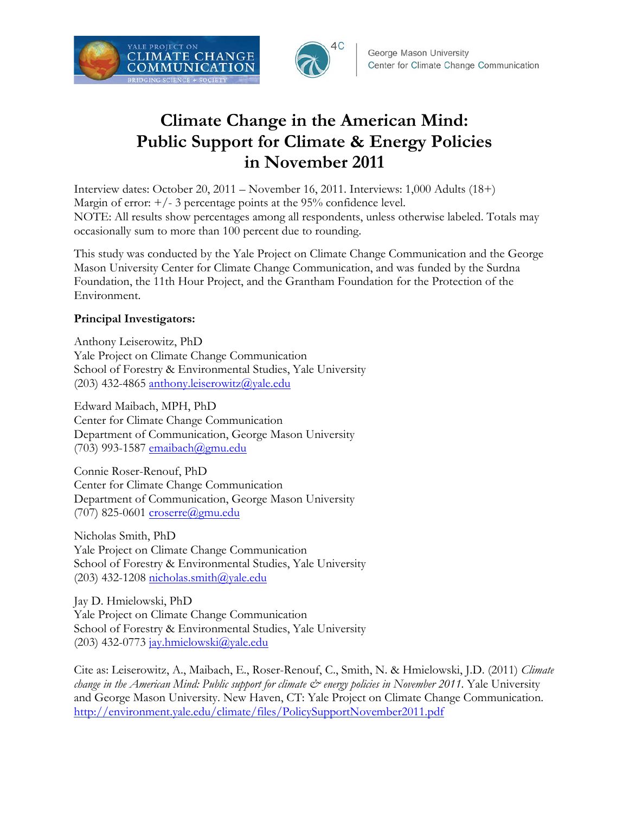



# **Climate Change in the American Mind: Public Support for Climate & Energy Policies in November 2011**

Interview dates: October 20, 2011 – November 16, 2011. Interviews: 1,000 Adults (18+) Margin of error:  $\pm$ /- 3 percentage points at the 95% confidence level. NOTE: All results show percentages among all respondents, unless otherwise labeled. Totals may occasionally sum to more than 100 percent due to rounding.

This study was conducted by the Yale Project on Climate Change Communication and the George Mason University Center for Climate Change Communication, and was funded by the Surdna Foundation, the 11th Hour Project, and the Grantham Foundation for the Protection of the Environment.

### **Principal Investigators:**

Anthony Leiserowitz, PhD Yale Project on Climate Change Communication School of Forestry & Environmental Studies, Yale University (203) 432-4865 anthony.leiserowitz@yale.edu

Edward Maibach, MPH, PhD Center for Climate Change Communication Department of Communication, George Mason University  $(703)$  993-1587 emaibach $@g$ mu.edu

Connie Roser-Renouf, PhD Center for Climate Change Communication Department of Communication, George Mason University (707) 825-0601 croserre@gmu.edu

Nicholas Smith, PhD Yale Project on Climate Change Communication School of Forestry & Environmental Studies, Yale University (203) 432-1208 nicholas.smith@yale.edu

Jay D. Hmielowski, PhD Yale Project on Climate Change Communication School of Forestry & Environmental Studies, Yale University (203) 432-0773 jay.hmielowski@yale.edu

Cite as: Leiserowitz, A., Maibach, E., Roser-Renouf, C., Smith, N. & Hmielowski, J.D. (2011) *Climate change in the American Mind: Public support for climate*  $\mathcal{O}$  *energy policies in November 2011.* Yale University and George Mason University. New Haven, CT: Yale Project on Climate Change Communication. http://environment.yale.edu/climate/files/PolicySupportNovember2011.pdf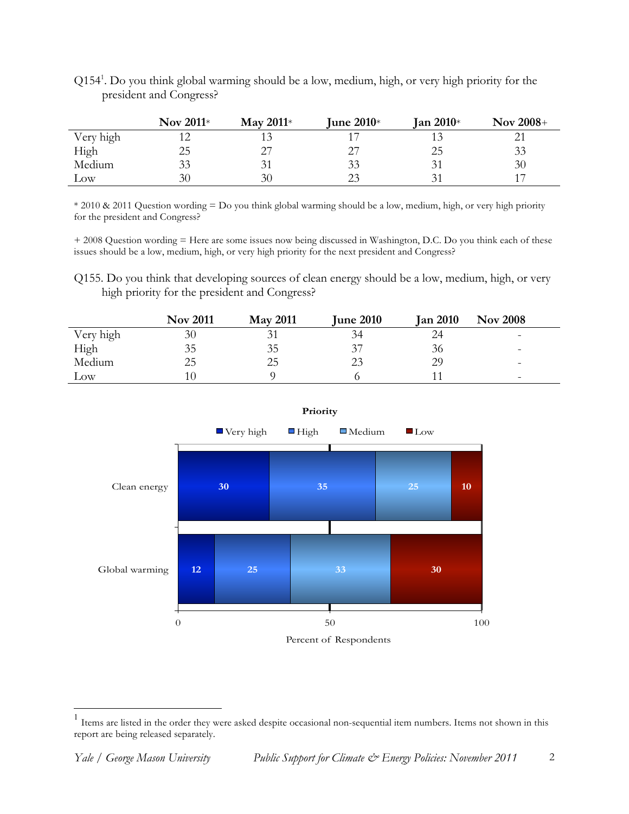|           | Nov $2011*$ | May $2011*$ | June $2010*$ | Jan 2010 $*$ | <b>Nov 2008+</b> |
|-----------|-------------|-------------|--------------|--------------|------------------|
| Very high |             |             |              |              |                  |
| High      | 25          |             |              | 25           | 33               |
| Medium    | 33          |             | 33           |              | 30               |
| Low       | 30          | 30          | つく           |              | 17               |

Q1541 . Do you think global warming should be a low, medium, high, or very high priority for the president and Congress?

\* 2010 & 2011 Question wording = Do you think global warming should be a low, medium, high, or very high priority for the president and Congress?

+ 2008 Question wording = Here are some issues now being discussed in Washington, D.C. Do you think each of these issues should be a low, medium, high, or very high priority for the next president and Congress?

Q155. Do you think that developing sources of clean energy should be a low, medium, high, or very high priority for the president and Congress?

|           | <b>Nov 2011</b> | <b>May 2011</b> | <b>June 2010</b> | <b>Jan 2010</b> | <b>Nov 2008</b>          |
|-----------|-----------------|-----------------|------------------|-----------------|--------------------------|
| Very high | 30              |                 | 34               | 24              | $\overline{\phantom{0}}$ |
| High      | 35              | 35              | 37               | 36              | -                        |
| Medium    | 25              | 25              | 23               | 29              | $\overline{\phantom{0}}$ |
| Low       |                 |                 |                  |                 | -                        |



**Priority** 

 1 Items are listed in the order they were asked despite occasional non-sequential item numbers. Items not shown in this report are being released separately.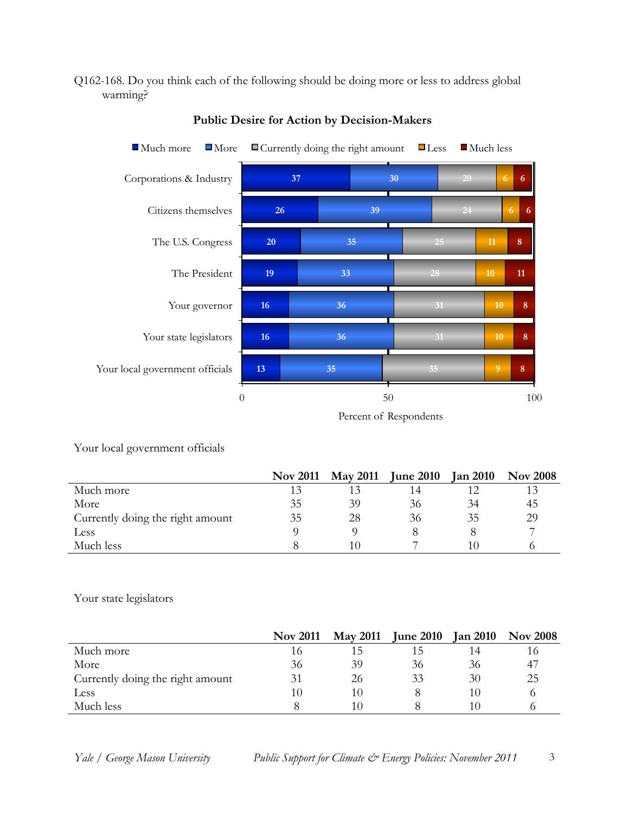#### Q162-168. Do you think each of the following should be doing more or less to address global warming?



**Public Desire for Action by Decision-Makers**

Your local government officials

|                                  | <b>Nov 2011</b> | <b>May 2011</b> | <b>June 2010</b> | <b>Jan 2010</b> | <b>Nov 2008</b> |
|----------------------------------|-----------------|-----------------|------------------|-----------------|-----------------|
| Much more                        | 13              |                 |                  |                 |                 |
| More                             | 35              | 39              | 36               | 34              | 45              |
| Currently doing the right amount | 35              | 28              | 36               | 35              | 29              |
| Less                             |                 |                 |                  |                 |                 |
| Much less                        |                 |                 |                  |                 |                 |

Your state legislators

|                                  | <b>Nov 2011</b> | <b>May 2011</b> | <b>June 2010</b> | <b>Jan 2010</b> | <b>Nov 2008</b> |
|----------------------------------|-----------------|-----------------|------------------|-----------------|-----------------|
| Much more                        | 16              | 15              |                  | 14              |                 |
| More                             | 36              | 39              | 36               | 36              | -47             |
| Currently doing the right amount | 31              | 26              | 33               | 30              | 25              |
| Less                             | 10              | 10              |                  | 10              |                 |
| Much less                        |                 | 10              |                  | 10              |                 |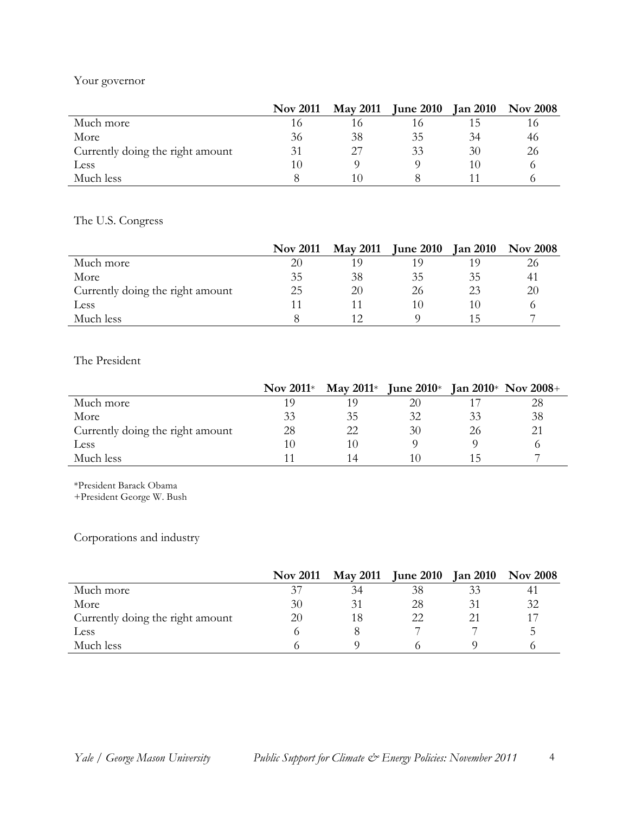## Your governor

|                                  | <b>Nov 2011</b> | <b>May 2011</b> | <b>June 2010</b> | <b>Jan 2010</b> | <b>Nov 2008</b> |
|----------------------------------|-----------------|-----------------|------------------|-----------------|-----------------|
| Much more                        | 16              | 16              |                  | 15              |                 |
| More                             | 36              | 38              | 35               | 34              | 46              |
| Currently doing the right amount | 31              |                 | 33               | 30              | 26              |
| Less                             | 10              |                 |                  | 10              |                 |
| Much less                        |                 | 10              |                  |                 |                 |

The U.S. Congress

|                                  | <b>Nov 2011</b> | <b>May 2011</b> | <b>June 2010</b> | <b>Jan 2010</b> | <b>Nov 2008</b> |
|----------------------------------|-----------------|-----------------|------------------|-----------------|-----------------|
| Much more                        | 20              | 1 Q             |                  |                 |                 |
| More                             | 35              | 38              | 35               | 35              | 41              |
| Currently doing the right amount | 25              | 20              | 26               | 23              | 20              |
| Less                             |                 |                 |                  | I ( )           |                 |
| Much less                        |                 |                 |                  |                 |                 |

The President

|                                  | Nov 2011 $*$ |    | May 2011* June 2010* |    | <b>Jan 2010</b> * Nov 2008+ |
|----------------------------------|--------------|----|----------------------|----|-----------------------------|
| Much more                        | 1 O          | 19 | 20                   |    | 28                          |
| More                             | 33           | 35 | 32                   | 33 | 38                          |
| Currently doing the right amount | 28           | 22 | 30                   | 26 | 21                          |
| Less                             | 10           | 10 |                      |    |                             |
| Much less                        |              | 14 | I ( )                |    |                             |

\*President Barack Obama

+President George W. Bush

Corporations and industry

|                                  | <b>Nov 2011</b> | <b>May 2011</b> | <b>June 2010</b> | <b>Jan 2010</b> | <b>Nov 2008</b> |
|----------------------------------|-----------------|-----------------|------------------|-----------------|-----------------|
| Much more                        | 37              | 34              | 38               |                 | $4^{\circ}$     |
| More                             | 30              |                 | 28               |                 | 32              |
| Currently doing the right amount | 20              | 18              |                  |                 |                 |
| Less                             |                 |                 |                  |                 |                 |
| Much less                        |                 |                 |                  |                 |                 |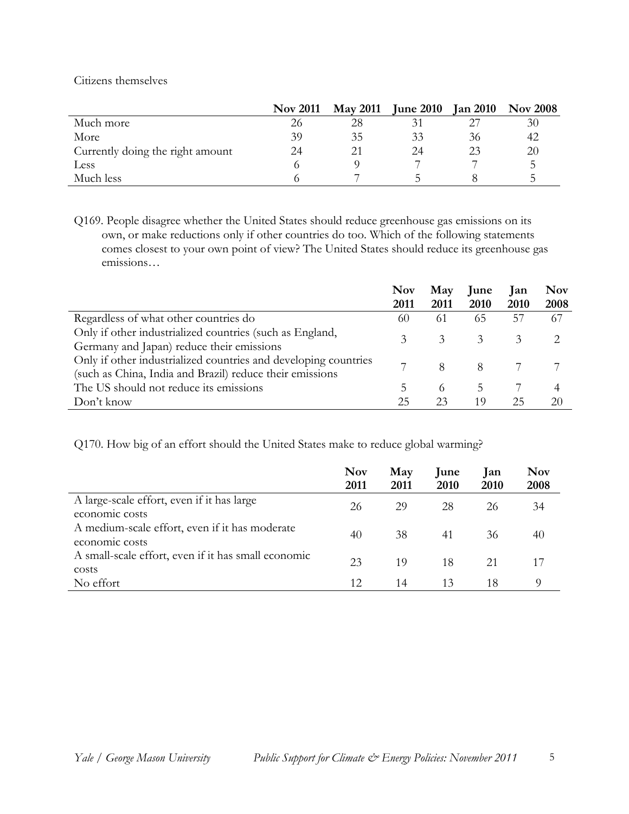Citizens themselves

|                                  | <b>Nov 2011</b> | <b>May 2011</b> | <b>June 2010</b> | <b>Jan 2010</b> | <b>Nov 2008</b> |
|----------------------------------|-----------------|-----------------|------------------|-----------------|-----------------|
| Much more                        | 26              | 28              |                  |                 | 30              |
| More                             | 39              | 35              | 33               | 36              | 42              |
| Currently doing the right amount | 24              |                 | 24               | 23              | 20              |
| Less                             |                 |                 |                  |                 |                 |
| Much less                        |                 |                 |                  |                 |                 |

Q169. People disagree whether the United States should reduce greenhouse gas emissions on its own, or make reductions only if other countries do too. Which of the following statements comes closest to your own point of view? The United States should reduce its greenhouse gas emissions…

|                                                                                                                             | <b>Nov</b><br>2011 | May<br>2011 | June<br>2010  | Jan<br>2010 | <b>Nov</b><br>2008 |
|-----------------------------------------------------------------------------------------------------------------------------|--------------------|-------------|---------------|-------------|--------------------|
| Regardless of what other countries do                                                                                       | 60                 | 61          | 65            | 57          | 67                 |
| Only if other industrialized countries (such as England,<br>Germany and Japan) reduce their emissions                       | 3                  | 3           | 3             | 3           |                    |
| Only if other industrialized countries and developing countries<br>(such as China, India and Brazil) reduce their emissions |                    | 8           | 8             |             |                    |
| The US should not reduce its emissions                                                                                      | 5                  | 6           | $\mathcal{D}$ |             | 4                  |
| Don't know                                                                                                                  | 25                 | 23          | 19            | 25          | 20                 |

Q170. How big of an effort should the United States make to reduce global warming?

|                                                                  | <b>Nov</b><br>2011 | May<br>2011 | <b>June</b><br>2010 | Jan<br>2010 | <b>Nov</b><br>2008 |
|------------------------------------------------------------------|--------------------|-------------|---------------------|-------------|--------------------|
| A large-scale effort, even if it has large<br>economic costs     | 26                 | 29          | 28                  | 26          | 34                 |
| A medium-scale effort, even if it has moderate<br>economic costs | 40                 | 38          | 41                  | 36          | 40                 |
| A small-scale effort, even if it has small economic<br>costs     | 23                 | 19          | 18                  | 21          |                    |
| No effort                                                        | 12.                | 14          | 13                  | 18          | $\Omega$           |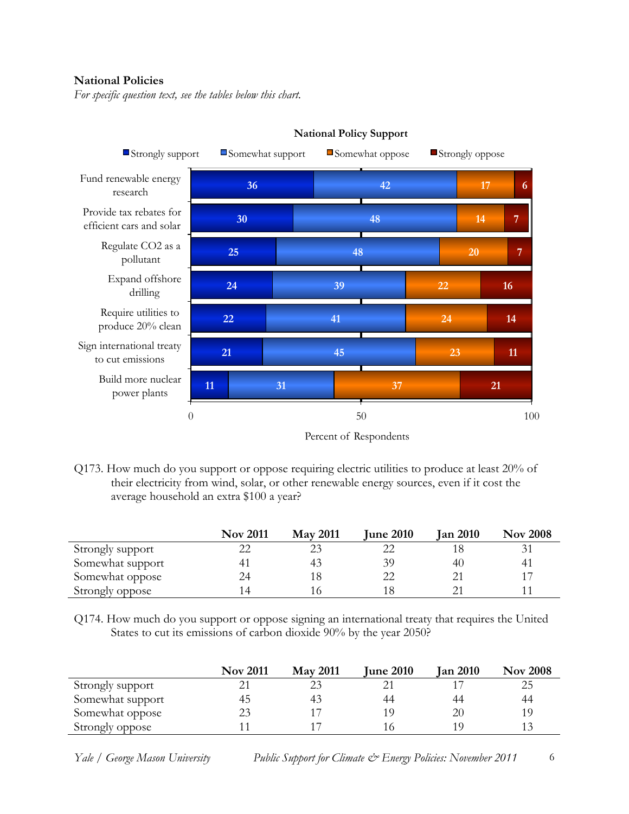#### **National Policies**

*For specific question text, see the tables below this chart.*



**National Policy Support** 

Q173. How much do you support or oppose requiring electric utilities to produce at least 20% of their electricity from wind, solar, or other renewable energy sources, even if it cost the average household an extra \$100 a year?

|                  | <b>Nov 2011</b> | <b>May 2011</b> | <b>June 2010</b> | <b>Jan 2010</b> | <b>Nov 2008</b> |
|------------------|-----------------|-----------------|------------------|-----------------|-----------------|
| Strongly support | 22              |                 |                  |                 | 31              |
| Somewhat support | 41              | 43              | 39               | 40              | 41              |
| Somewhat oppose  | 24              |                 | 22               |                 | 17              |
| Strongly oppose  |                 |                 | 18               |                 |                 |

Q174. How much do you support or oppose signing an international treaty that requires the United States to cut its emissions of carbon dioxide 90% by the year 2050?

|                  | <b>Nov 2011</b> | <b>May 2011</b> | <b>June 2010</b> | <b>Jan 2010</b> | <b>Nov 2008</b> |
|------------------|-----------------|-----------------|------------------|-----------------|-----------------|
| Strongly support |                 |                 |                  |                 | 25              |
| Somewhat support | 45              | 43              | 44               | 44              | 44              |
| Somewhat oppose  | 23              |                 | 1 Q              | 20              | 19              |
| Strongly oppose  |                 |                 |                  | 1 ()            | 13              |

Percent of Respondents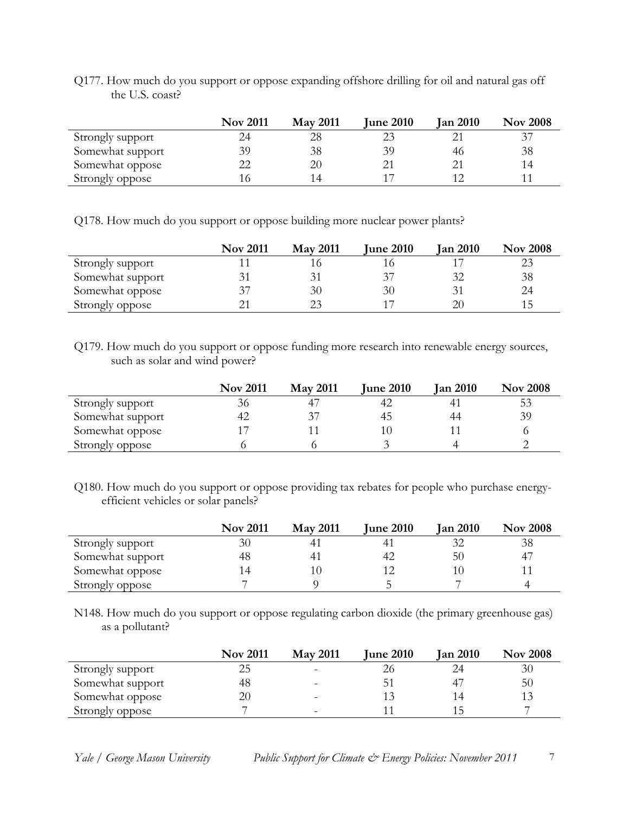| Q177. How much do you support or oppose expanding offshore drilling for oil and natural gas off |  |  |  |
|-------------------------------------------------------------------------------------------------|--|--|--|
| the U.S. coast?                                                                                 |  |  |  |

|                  | <b>Nov 2011</b> | <b>May 2011</b> | <b>June 2010</b> | <b>Jan 2010</b> | <b>Nov 2008</b> |
|------------------|-----------------|-----------------|------------------|-----------------|-----------------|
| Strongly support |                 | 28              |                  |                 | 37              |
| Somewhat support | 39              | 38              | 39               | 46              | 38              |
| Somewhat oppose  | 22              | 20              | $2^{\circ}$      |                 | 14              |
| Strongly oppose  |                 | l 4             |                  |                 |                 |

Q178. How much do you support or oppose building more nuclear power plants?

|                  | <b>Nov 2011</b> | <b>May 2011</b> | <b>June 2010</b> | <b>Jan 2010</b> | <b>Nov 2008</b> |
|------------------|-----------------|-----------------|------------------|-----------------|-----------------|
| Strongly support |                 |                 |                  |                 | 23              |
| Somewhat support | 31              |                 | $3^{\circ}$      |                 | 38              |
| Somewhat oppose  | 37              | 30              | 30               |                 | 24              |
| Strongly oppose  |                 |                 |                  |                 | 15              |

Q179. How much do you support or oppose funding more research into renewable energy sources, such as solar and wind power?

|                  | <b>Nov 2011</b> | <b>May 2011</b> | <b>June 2010</b> | <b>Jan 2010</b> | <b>Nov 2008</b> |
|------------------|-----------------|-----------------|------------------|-----------------|-----------------|
| Strongly support | 36              |                 | 42               |                 | 53              |
| Somewhat support | 42              |                 | 45               | 44              | 39              |
| Somewhat oppose  | 7               |                 |                  |                 |                 |
| Strongly oppose  |                 |                 |                  |                 |                 |

Q180. How much do you support or oppose providing tax rebates for people who purchase energyefficient vehicles or solar panels?

|                  | <b>Nov 2011</b> | <b>May 2011</b> | <b>June 2010</b> | <b>Jan 2010</b> | <b>Nov 2008</b> |
|------------------|-----------------|-----------------|------------------|-----------------|-----------------|
| Strongly support | 30              |                 | 41               | 32              | 38              |
| Somewhat support | 48              | 41              | 42               | 50              | 47              |
| Somewhat oppose  |                 |                 |                  |                 |                 |
| Strongly oppose  |                 |                 |                  |                 |                 |

N148. How much do you support or oppose regulating carbon dioxide (the primary greenhouse gas) as a pollutant?

|                  | <b>Nov 2011</b> | <b>May 2011</b>          | <b>June 2010</b> | <b>Jan 2010</b> | <b>Nov 2008</b> |
|------------------|-----------------|--------------------------|------------------|-----------------|-----------------|
| Strongly support | 25              | $\sim$                   | 26               | 24              | 30              |
| Somewhat support | 48              |                          | $5^{\circ}$      |                 | 50              |
| Somewhat oppose  | 20              | -                        |                  | 14              | 13              |
| Strongly oppose  | ь               | $\overline{\phantom{a}}$ |                  | 15              |                 |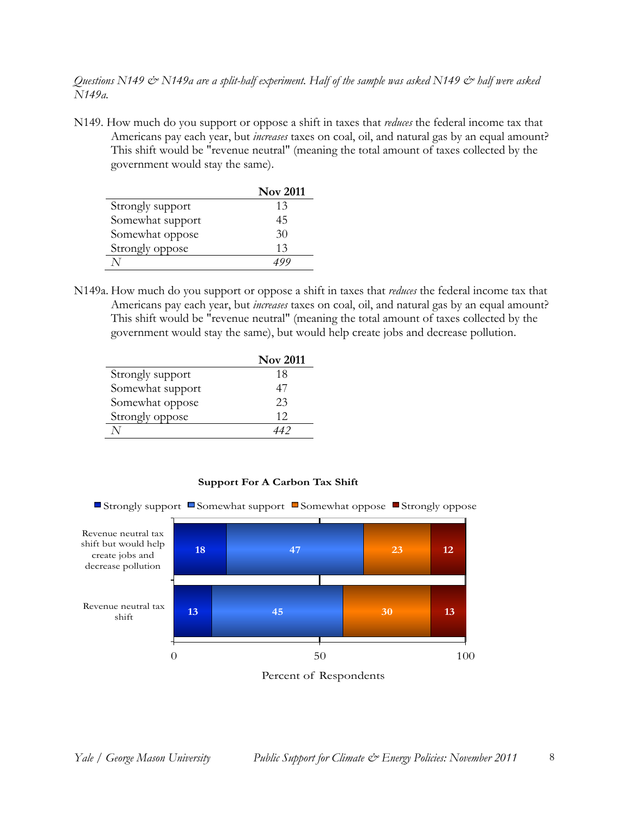*Questions N149 & N149a are a split-half experiment. Half of the sample was asked N149 & half were asked N149a.*

N149. How much do you support or oppose a shift in taxes that *reduces* the federal income tax that Americans pay each year, but *increases* taxes on coal, oil, and natural gas by an equal amount? This shift would be "revenue neutral" (meaning the total amount of taxes collected by the government would stay the same).

|                  | <b>Nov 2011</b> |
|------------------|-----------------|
| Strongly support | 13              |
| Somewhat support | 45              |
| Somewhat oppose  | 30              |
| Strongly oppose  | 13              |
|                  |                 |

N149a. How much do you support or oppose a shift in taxes that *reduces* the federal income tax that Americans pay each year, but *increases* taxes on coal, oil, and natural gas by an equal amount? This shift would be "revenue neutral" (meaning the total amount of taxes collected by the government would stay the same), but would help create jobs and decrease pollution.

|                  | <b>Nov 2011</b> |
|------------------|-----------------|
| Strongly support | 18              |
| Somewhat support | 47              |
| Somewhat oppose  | 23              |
| Strongly oppose  | 12              |
|                  |                 |



#### **Support For A Carbon Tax Shift**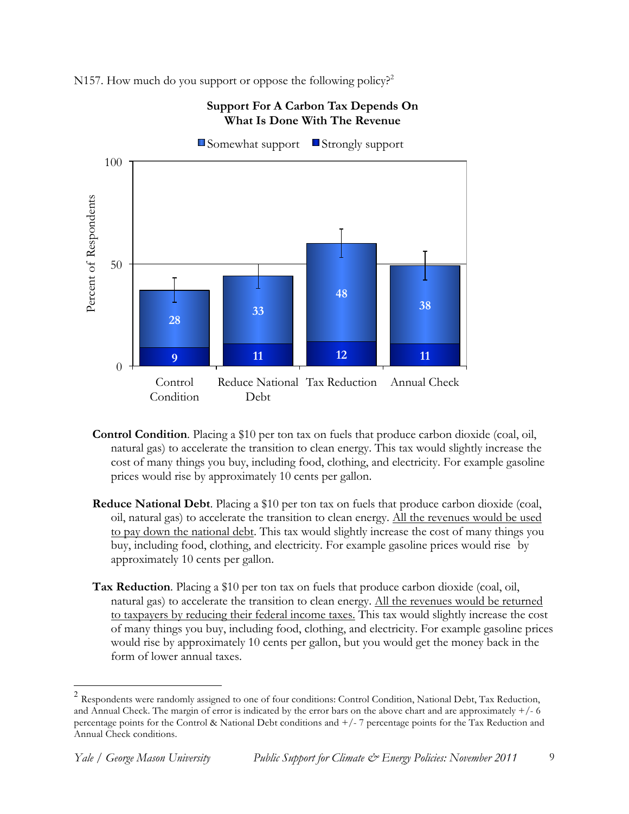N157. How much do you support or oppose the following policy?<sup>2</sup>



**Support For A Carbon Tax Depends On What Is Done With The Revenue**

- **Control Condition**. Placing a \$10 per ton tax on fuels that produce carbon dioxide (coal, oil, natural gas) to accelerate the transition to clean energy. This tax would slightly increase the cost of many things you buy, including food, clothing, and electricity. For example gasoline prices would rise by approximately 10 cents per gallon.
- **Reduce National Debt**. Placing a \$10 per ton tax on fuels that produce carbon dioxide (coal, oil, natural gas) to accelerate the transition to clean energy. All the revenues would be used to pay down the national debt. This tax would slightly increase the cost of many things you buy, including food, clothing, and electricity. For example gasoline prices would rise by approximately 10 cents per gallon.
- **Tax Reduction**. Placing a \$10 per ton tax on fuels that produce carbon dioxide (coal, oil, natural gas) to accelerate the transition to clean energy. All the revenues would be returned to taxpayers by reducing their federal income taxes. This tax would slightly increase the cost of many things you buy, including food, clothing, and electricity. For example gasoline prices would rise by approximately 10 cents per gallon, but you would get the money back in the form of lower annual taxes.

 <sup>2</sup> Respondents were randomly assigned to one of four conditions: Control Condition, National Debt, Tax Reduction, and Annual Check. The margin of error is indicated by the error bars on the above chart and are approximately  $+/- 6$ percentage points for the Control & National Debt conditions and  $+/-7$  percentage points for the Tax Reduction and Annual Check conditions.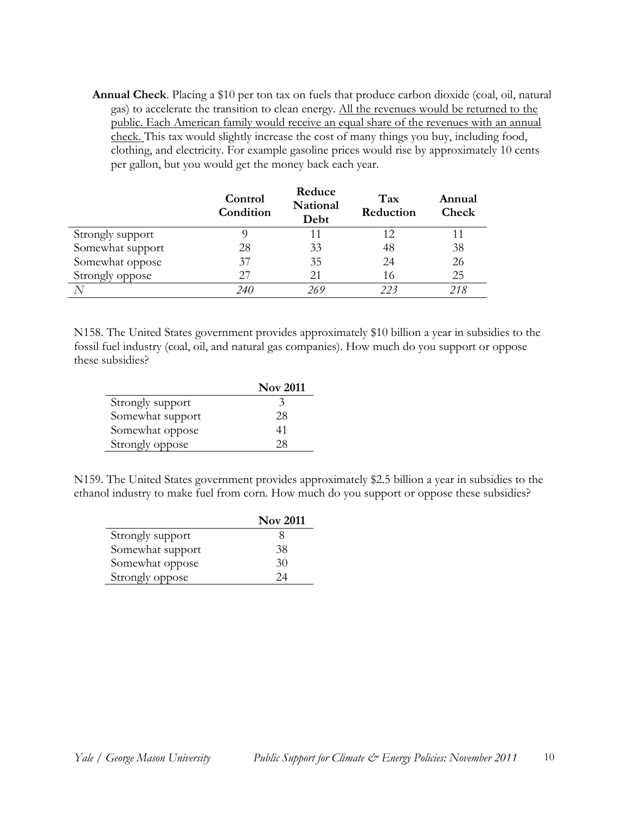**Annual Check**. Placing a \$10 per ton tax on fuels that produce carbon dioxide (coal, oil, natural gas) to accelerate the transition to clean energy. All the revenues would be returned to the public. Each American family would receive an equal share of the revenues with an annual check. This tax would slightly increase the cost of many things you buy, including food, clothing, and electricity. For example gasoline prices would rise by approximately 10 cents per gallon, but you would get the money back each year.

|                  | Control<br>Condition | Reduce<br>National<br>Debt | Tax<br>Reduction | Annual<br>Check |
|------------------|----------------------|----------------------------|------------------|-----------------|
| Strongly support |                      | 11                         |                  | 11              |
| Somewhat support | 28                   | 33                         | 48               | 38              |
| Somewhat oppose  | 37                   | 35                         | 24               | 26              |
| Strongly oppose  | 27                   | 21                         | 16               | 25              |
|                  | 240                  | 269                        | 223              | 218             |

N158. The United States government provides approximately \$10 billion a year in subsidies to the fossil fuel industry (coal, oil, and natural gas companies). How much do you support or oppose these subsidies?

|                  | <b>Nov 2011</b> |
|------------------|-----------------|
| Strongly support | 3               |
| Somewhat support | 28              |
| Somewhat oppose  | 41              |
| Strongly oppose  | 28              |

N159. The United States government provides approximately \$2.5 billion a year in subsidies to the ethanol industry to make fuel from corn. How much do you support or oppose these subsidies?

|                  | <b>Nov 2011</b> |
|------------------|-----------------|
| Strongly support | x               |
| Somewhat support | 38              |
| Somewhat oppose  | 30              |
| Strongly oppose  | 24              |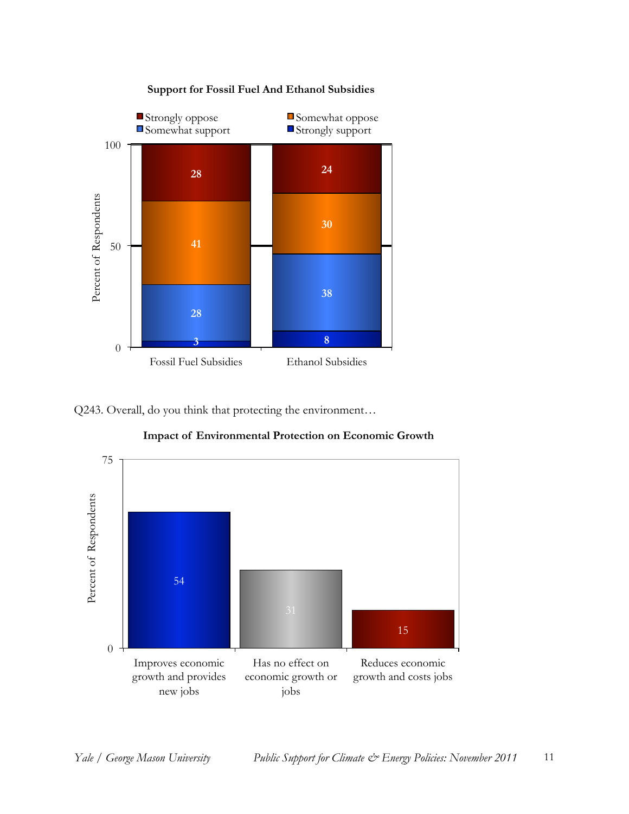

Q243. Overall, do you think that protecting the environment…



**Impact of Environmental Protection on Economic Growth**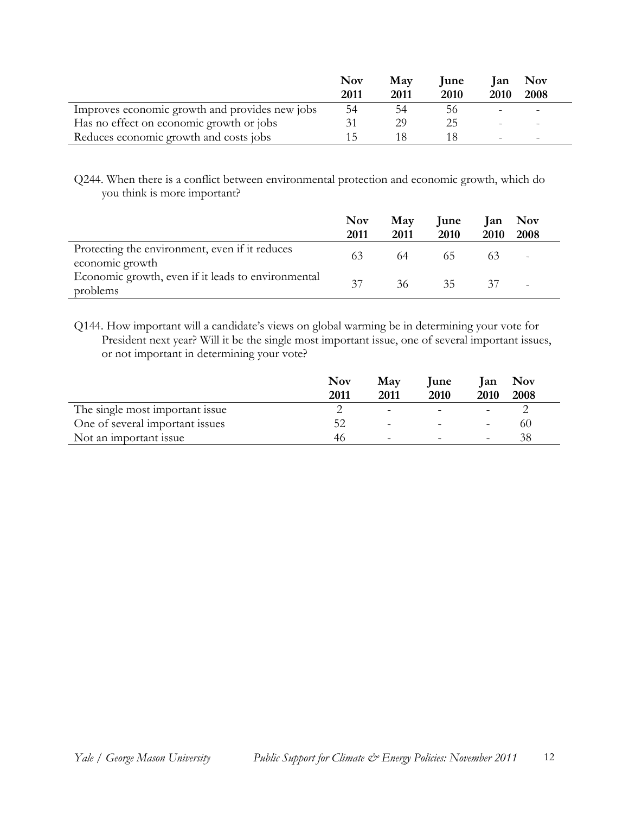|                                                | <b>Nov</b> | May  | <b>lune</b> | lan                      | <b>Nov</b>               |
|------------------------------------------------|------------|------|-------------|--------------------------|--------------------------|
|                                                | 2011       | 2011 | 2010        | <b>2010</b>              | 2008                     |
| Improves economic growth and provides new jobs | 54         | 54   | 56          |                          | $\overline{\phantom{0}}$ |
| Has no effect on economic growth or jobs       |            | 29   | クト          |                          | $\qquad \qquad =$        |
| Reduces economic growth and costs jobs         |            |      |             | $\overline{\phantom{0}}$ | $\overline{\phantom{0}}$ |

Q244. When there is a conflict between environmental protection and economic growth, which do you think is more important?

|                                                                   | <b>Nov</b> | May  | <b>lune</b> | lan  | Nov                      |  |
|-------------------------------------------------------------------|------------|------|-------------|------|--------------------------|--|
|                                                                   | 2011       | 2011 | 2010        | 2010 | 2008                     |  |
| Protecting the environment, even if it reduces<br>economic growth | 63         | 64   | 65.         |      | $\overline{\phantom{a}}$ |  |
| Economic growth, even if it leads to environmental<br>problems    | 37         | 36   | 35          | 37   | $\overline{\phantom{a}}$ |  |

Q144. How important will a candidate's views on global warming be in determining your vote for President next year? Will it be the single most important issue, one of several important issues, or not important in determining your vote?

|                                 | <b>Nov</b><br>2011 | May<br>2011              | <b>lune</b><br>2010 | lan<br>2010                  | Nov<br>2008 |
|---------------------------------|--------------------|--------------------------|---------------------|------------------------------|-------------|
| The single most important issue |                    | $\overline{\phantom{a}}$ |                     |                              |             |
| One of several important issues | 52                 | $\overline{\phantom{a}}$ |                     | $\overline{\phantom{a}}$     | 60          |
| Not an important issue          | 46                 | $\qquad \qquad -$        |                     | $\qquad \qquad \blacksquare$ |             |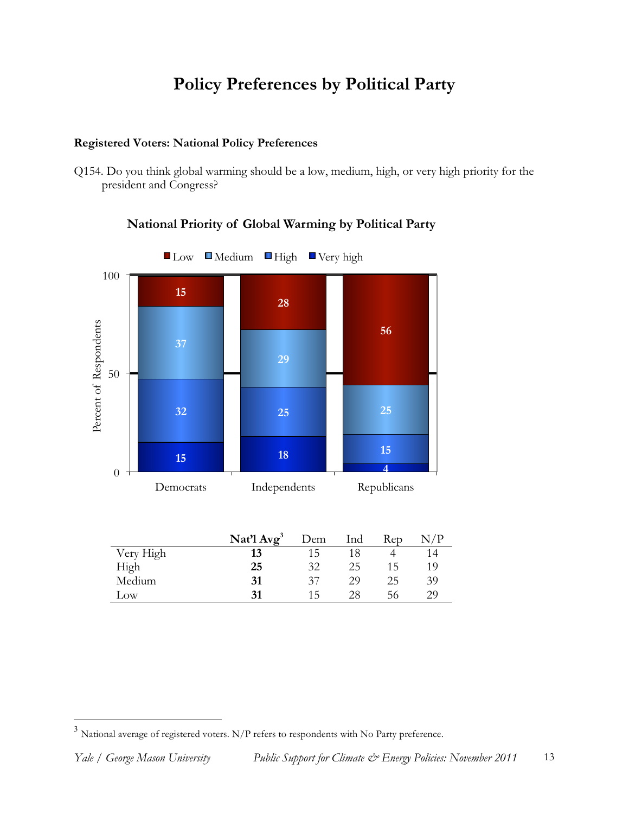## **Policy Preferences by Political Party**

### **Registered Voters: National Policy Preferences**

Q154. Do you think global warming should be a low, medium, high, or very high priority for the president and Congress?



## **National Priority of Global Warming by Political Party**

|           | Nat'l $Avg^3$ | Dem | Ind | Rep |    |
|-----------|---------------|-----|-----|-----|----|
| Very High | 13            | 15  |     |     |    |
| High      | 25            | 32  | 25  | 15  | 19 |
| Medium    | 31            | 37  | 29  | 25  | 39 |
| Low       | 31            | 15  | 28  | 56  | 29 |

 $^3$  National average of registered voters. N/P refers to respondents with No Party preference.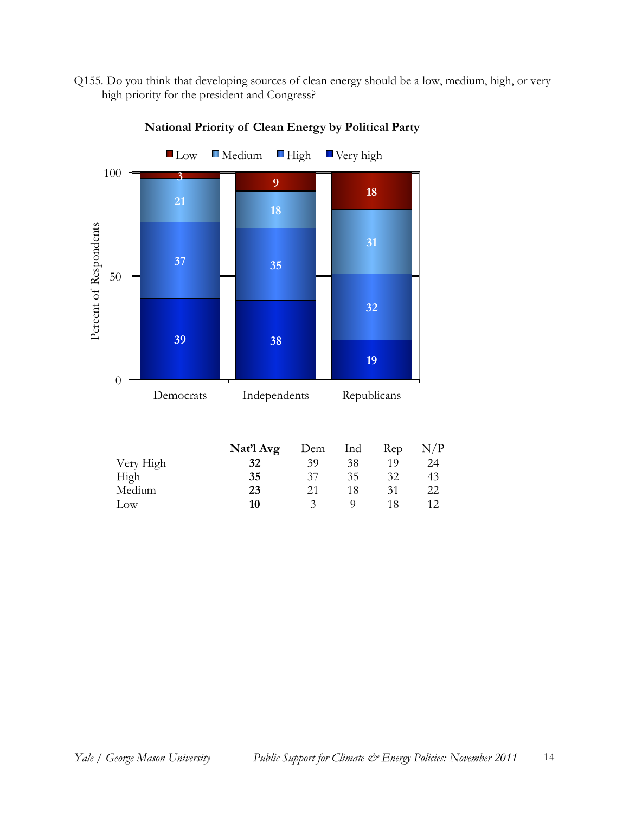Q155. Do you think that developing sources of clean energy should be a low, medium, high, or very high priority for the president and Congress?



**National Priority of Clean Energy by Political Party**

|           | Nat'l Avg | Dem                | Ind | Rep | N/P |
|-----------|-----------|--------------------|-----|-----|-----|
| Very High | 32        | 39                 | 38  | 10  | 24  |
| High      | 35        | 37                 | 35  | 32  | 43  |
| Medium    | 23        | 21                 | 18  | 31  | 22  |
| Low       | 10        | $\mathbf{\hat{z}}$ |     | 18  |     |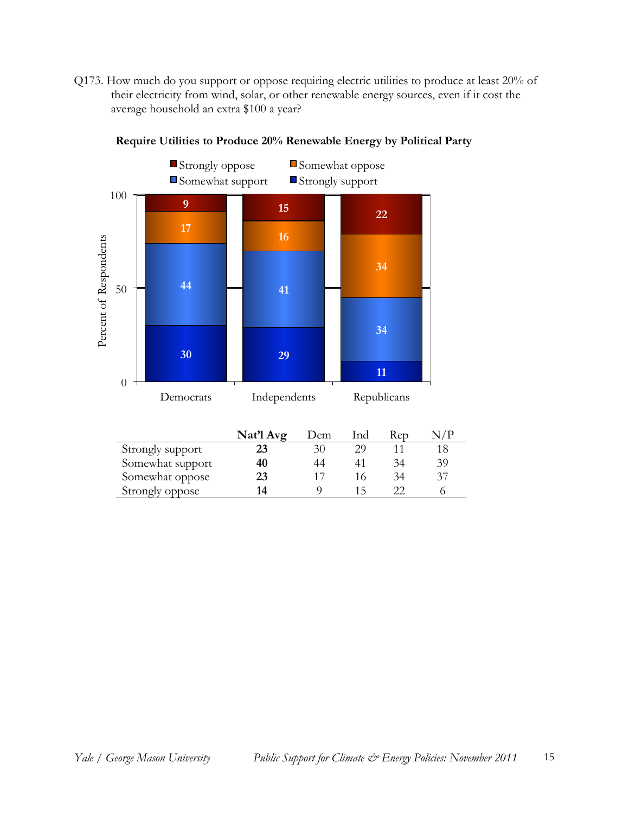Q173. How much do you support or oppose requiring electric utilities to produce at least 20% of their electricity from wind, solar, or other renewable energy sources, even if it cost the average household an extra \$100 a year?



Somewhat oppose **23** 17 16 34 37 Strongly oppose **14** 9 15 22 6

**Require Utilities to Produce 20% Renewable Energy by Political Party**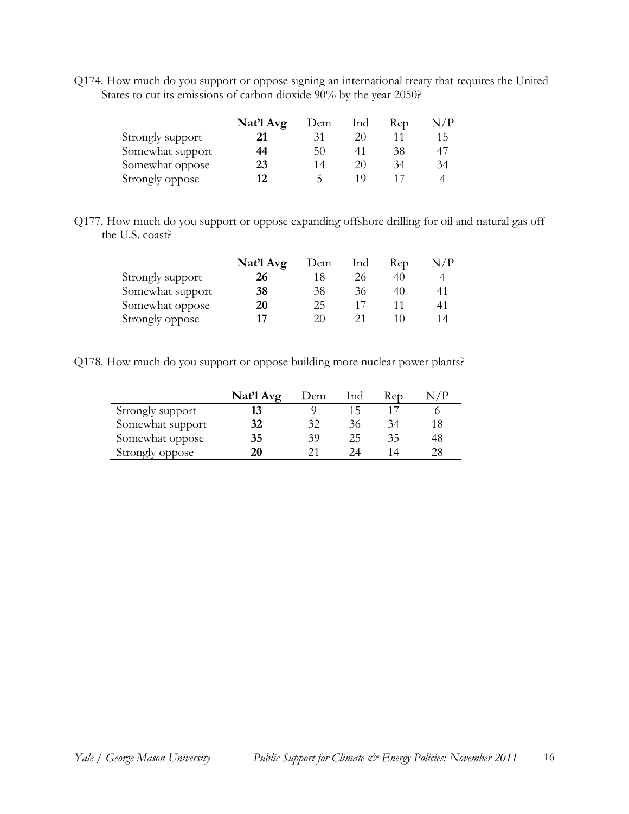Q174. How much do you support or oppose signing an international treaty that requires the United States to cut its emissions of carbon dioxide 90% by the year 2050?

|                  | Nat'l Avg | Dem | Ind | Rep |     |
|------------------|-----------|-----|-----|-----|-----|
| Strongly support |           | 31  | 20  |     | 1 5 |
| Somewhat support | 44        | 50  | 41  | 38  | 47  |
| Somewhat oppose  | 23        | 14  | 20  | 34  | 34  |
| Strongly oppose  | 17        |     | 1 O |     |     |

Q177. How much do you support or oppose expanding offshore drilling for oil and natural gas off the U.S. coast?

|                  | Nat'l Avg | Dem | Ind | Rep | $\sim$ / P |
|------------------|-----------|-----|-----|-----|------------|
| Strongly support | 26        |     | 26  | 40  |            |
| Somewhat support | 38        | 38  | 36  | 40  |            |
| Somewhat oppose  | 20        | 25  |     |     |            |
| Strongly oppose  | 17        | 20  |     |     | 14         |

Q178. How much do you support or oppose building more nuclear power plants?

|                  | Nat'l Avg | Dem | Ind | Rep |    |
|------------------|-----------|-----|-----|-----|----|
| Strongly support |           |     | 15  |     |    |
| Somewhat support | 32        | 32  | 36  | 34  | 18 |
| Somewhat oppose  | 35        | 39  | 25  | 35  | 48 |
| Strongly oppose  | 20        |     | 24. | 14  | 28 |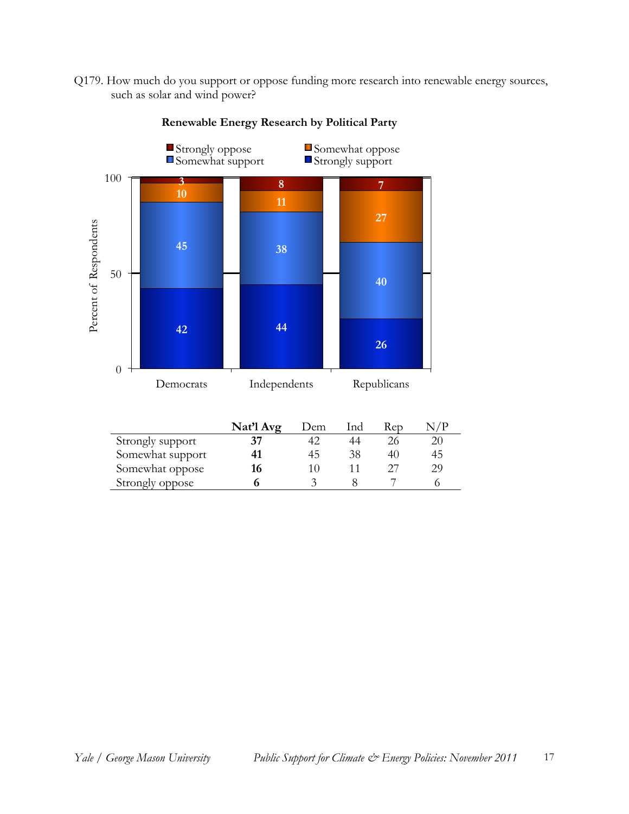Q179. How much do you support or oppose funding more research into renewable energy sources, such as solar and wind power?



**Renewable Energy Research by Political Party**

|                  | Nat'l Avg | Dem | Ind | Rep | √ / P |
|------------------|-----------|-----|-----|-----|-------|
| Strongly support |           |     | 44  |     | 20    |
| Somewhat support |           | 45  | 38  | 40  | 45    |
| Somewhat oppose  | 16        |     |     |     | 29    |
| Strongly oppose  |           |     |     |     |       |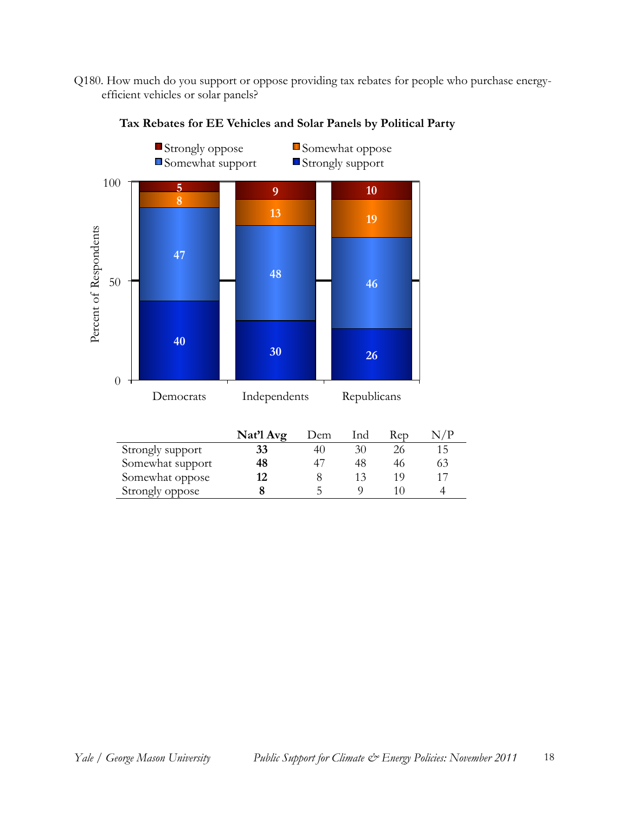Q180. How much do you support or oppose providing tax rebates for people who purchase energyefficient vehicles or solar panels?



**Tax Rebates for EE Vehicles and Solar Panels by Political Party** 

|                  | Nat'l Avg | Dem | Ind | Rep  | /P  |
|------------------|-----------|-----|-----|------|-----|
| Strongly support | 33        |     | 30  | 26   |     |
| Somewhat support | 48        |     | 48  | 46   | ר ר |
| Somewhat oppose  | 12        |     | 13  | 1 () |     |
| Strongly oppose  |           |     |     |      |     |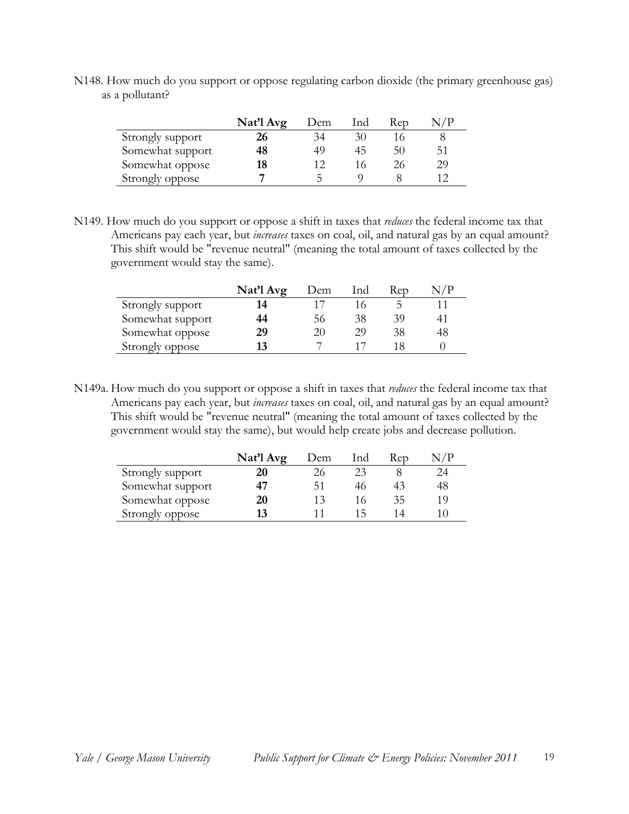N148. How much do you support or oppose regulating carbon dioxide (the primary greenhouse gas) as a pollutant?

|                  | Nat'l Avg | Dem | lnd | Rep |    |
|------------------|-----------|-----|-----|-----|----|
| Strongly support | 26        | 34  | 30  |     |    |
| Somewhat support | 48        | 49  | 45  | 50  | 51 |
| Somewhat oppose  | 18        |     | 16  |     | 29 |
| Strongly oppose  |           |     |     |     |    |

N149. How much do you support or oppose a shift in taxes that *reduces* the federal income tax that Americans pay each year, but *increases* taxes on coal, oil, and natural gas by an equal amount? This shift would be "revenue neutral" (meaning the total amount of taxes collected by the government would stay the same).

|                  | Nat'l Avg | Dem | Ind | Rep |    |
|------------------|-----------|-----|-----|-----|----|
| Strongly support | 14        |     |     |     |    |
| Somewhat support | 44        | 56  | 38  | 39  |    |
| Somewhat oppose  | 29        | 20  | 29  | 38  | 48 |
| Strongly oppose  | 13        |     |     |     |    |

N149a. How much do you support or oppose a shift in taxes that *reduces* the federal income tax that Americans pay each year, but *increases* taxes on coal, oil, and natural gas by an equal amount? This shift would be "revenue neutral" (meaning the total amount of taxes collected by the government would stay the same), but would help create jobs and decrease pollution.

|                  | Nat'l Avg | Dem | lnd | Rep | N / P |
|------------------|-----------|-----|-----|-----|-------|
| Strongly support |           | 26  | 23  |     | 24    |
| Somewhat support | 47        | 51  | 46  |     | 48    |
| Somewhat oppose  | 20        | 13  |     | 35  | 19    |
| Strongly oppose  | 13        |     | 1 5 |     |       |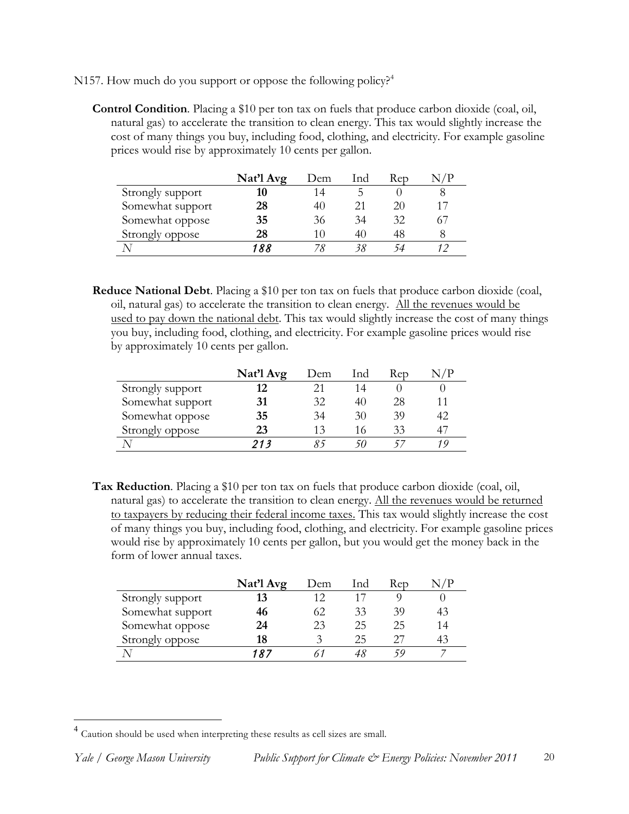N157. How much do you support or oppose the following policy?<sup>4</sup>

**Control Condition**. Placing a \$10 per ton tax on fuels that produce carbon dioxide (coal, oil, natural gas) to accelerate the transition to clean energy. This tax would slightly increase the cost of many things you buy, including food, clothing, and electricity. For example gasoline prices would rise by approximately 10 cents per gallon.

|                  | Nat'l Avg | Dem | Ind | Rep |    |
|------------------|-----------|-----|-----|-----|----|
| Strongly support | 10        | 14  | b.  |     |    |
| Somewhat support | 28        | 40  | 21  | 20  | 17 |
| Somewhat oppose  | 35        | 36  | 34  | 32  |    |
| Strongly oppose  | 28        | 10  | 40  | 48  |    |
|                  |           |     |     | 54  |    |

**Reduce National Debt**. Placing a \$10 per ton tax on fuels that produce carbon dioxide (coal, oil, natural gas) to accelerate the transition to clean energy. All the revenues would be used to pay down the national debt. This tax would slightly increase the cost of many things you buy, including food, clothing, and electricity. For example gasoline prices would rise by approximately 10 cents per gallon.

|                  | Nat'l Avg | Dem | lnd | Rep |    |
|------------------|-----------|-----|-----|-----|----|
| Strongly support | 12        |     | 14  |     |    |
| Somewhat support | 31        | 32  | 40  | 28  | 11 |
| Somewhat oppose  | 35        | 34  | 30  | 39  | 42 |
| Strongly oppose  | 23        | 13  | 16  | 33  | 47 |
|                  | 213       |     |     |     |    |

**Tax Reduction**. Placing a \$10 per ton tax on fuels that produce carbon dioxide (coal, oil, natural gas) to accelerate the transition to clean energy. All the revenues would be returned to taxpayers by reducing their federal income taxes. This tax would slightly increase the cost of many things you buy, including food, clothing, and electricity. For example gasoline prices would rise by approximately 10 cents per gallon, but you would get the money back in the form of lower annual taxes.

|                  | Nat'l Avg | Dem | Ind | Rep | √ / P |
|------------------|-----------|-----|-----|-----|-------|
| Strongly support |           |     |     |     |       |
| Somewhat support | 46        | 62  | 33  | 39  | 43    |
| Somewhat oppose  | 24        | 23  | 25  | 25  | 14    |
| Strongly oppose  | 18        |     | 25  | 27  | 43    |
|                  | 187       |     |     |     |       |

 <sup>4</sup> Caution should be used when interpreting these results as cell sizes are small.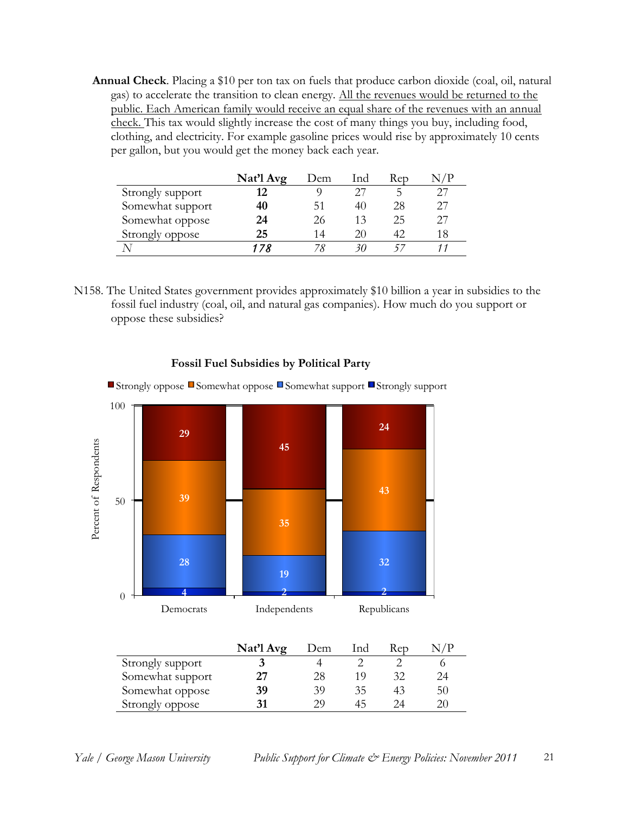**Annual Check**. Placing a \$10 per ton tax on fuels that produce carbon dioxide (coal, oil, natural gas) to accelerate the transition to clean energy. All the revenues would be returned to the public. Each American family would receive an equal share of the revenues with an annual check. This tax would slightly increase the cost of many things you buy, including food, clothing, and electricity. For example gasoline prices would rise by approximately 10 cents per gallon, but you would get the money back each year.

|                  | Nat'l Avg | Dem | Ind | Rep |    |
|------------------|-----------|-----|-----|-----|----|
| Strongly support | 19        |     |     | ∽   |    |
| Somewhat support | 40        | 51  | 40  | 28  |    |
| Somewhat oppose  | 24        | 26  | 13  | 25  |    |
| Strongly oppose  | 25        | 14  | 20  | 42  | 18 |
|                  | . 7 2     |     |     |     |    |

N158. The United States government provides approximately \$10 billion a year in subsidies to the fossil fuel industry (coal, oil, and natural gas companies). How much do you support or oppose these subsidies?



#### **Fossil Fuel Subsidies by Political Party**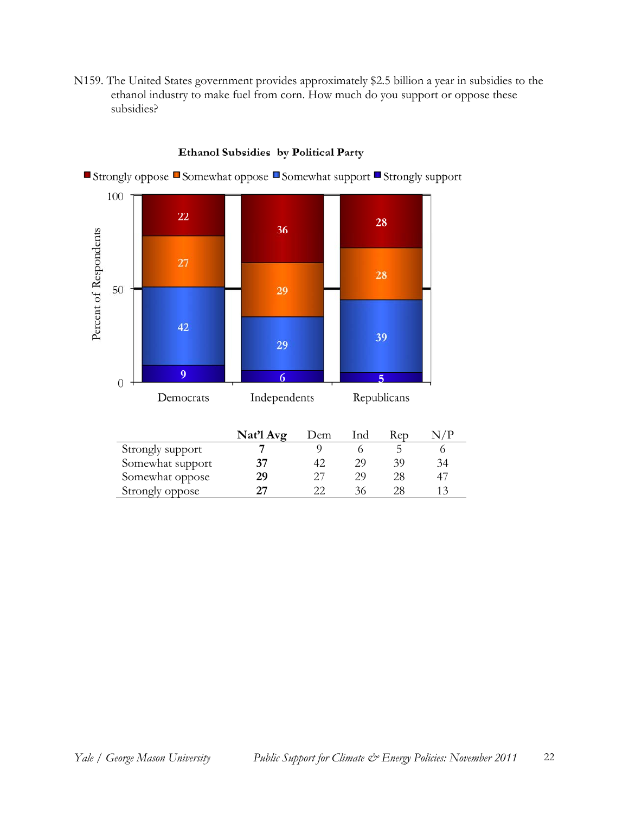N159. The United States government provides approximately \$2.5 billion a year in subsidies to the ethanol industry to make fuel from corn. How much do you support or oppose these subsidies?



#### Ethanol Subsidies by Political Party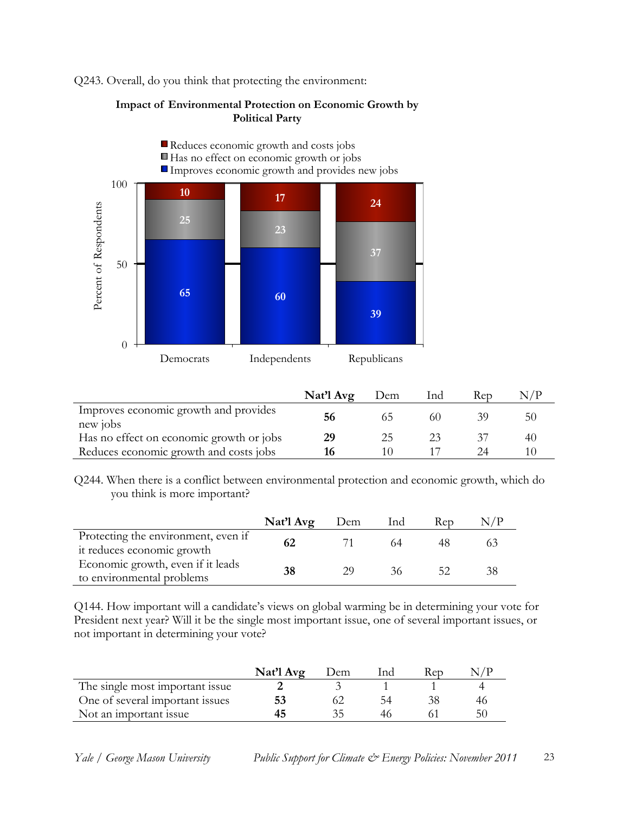Q243. Overall, do you think that protecting the environment:

#### **Impact of Environmental Protection on Economic Growth by Political Party**



|                                                   | Nat'l Avg | Dem | Ind | Rep |    |
|---------------------------------------------------|-----------|-----|-----|-----|----|
| Improves economic growth and provides<br>new jobs | 56        | 65  | 60  | 39  | 50 |
| Has no effect on economic growth or jobs          | 29        | 25  |     |     | 40 |
| Reduces economic growth and costs jobs            | 16        |     |     |     |    |

Q244. When there is a conflict between environmental protection and economic growth, which do you think is more important?

|                                                                   | Nat'l Avg | Dem | Ind | Rep |  |
|-------------------------------------------------------------------|-----------|-----|-----|-----|--|
| Protecting the environment, even if<br>it reduces economic growth | 62        |     |     |     |  |
| Economic growth, even if it leads<br>to environmental problems    | 38        | 20  | 36  |     |  |

Q144. How important will a candidate's views on global warming be in determining your vote for President next year? Will it be the single most important issue, one of several important issues, or not important in determining your vote?

|                                 | Nat'l Avg | Dem | Ind | Kep |    |
|---------------------------------|-----------|-----|-----|-----|----|
| The single most important issue |           |     |     |     |    |
| One of several important issues |           |     | 54  |     |    |
| Not an important issue          |           |     |     |     | 51 |